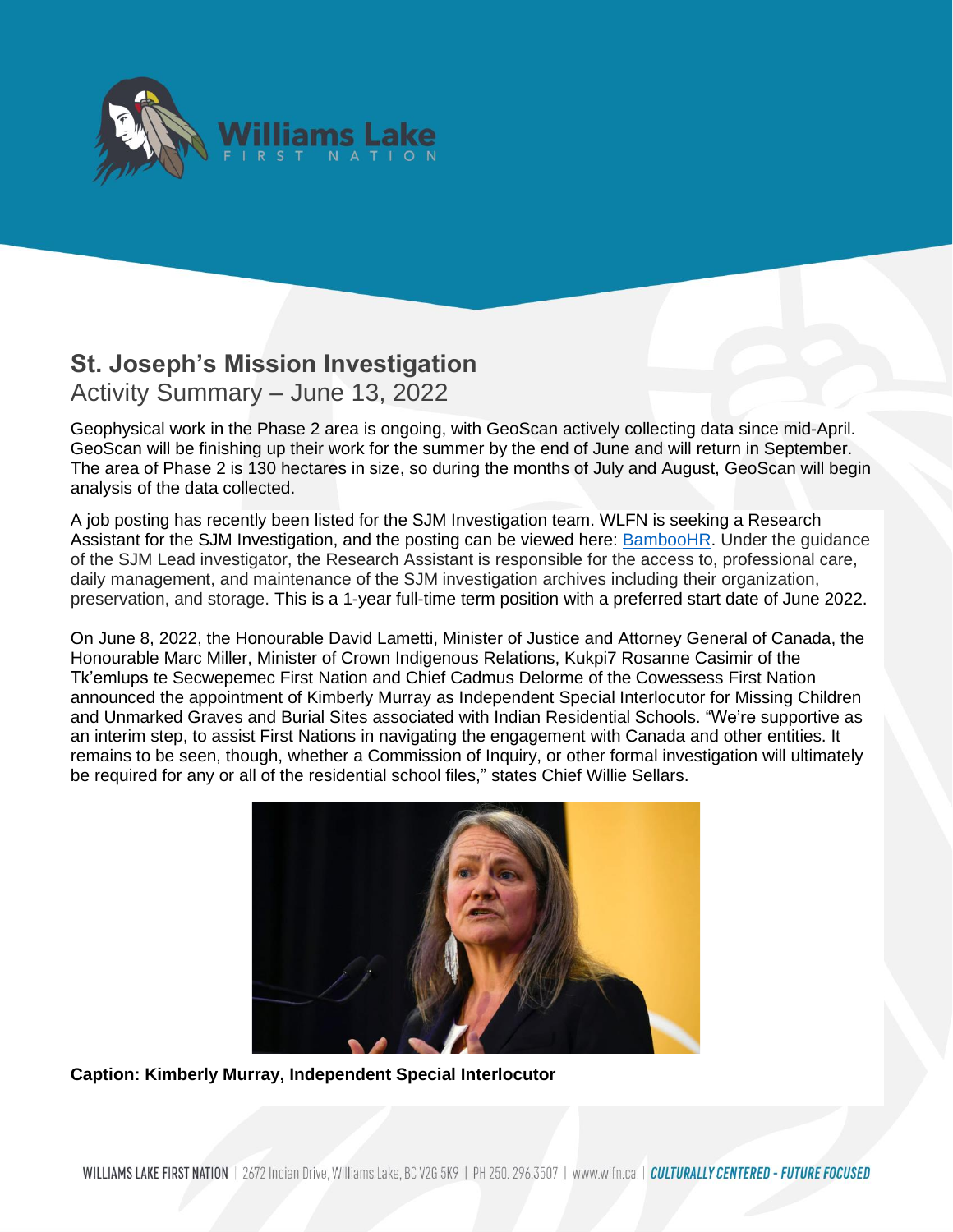

## **St. Joseph's Mission Investigation** Activity Summary – June 13, 2022

analysis of the data collected.

Geophysical work in the Phase 2 area is ongoing, with GeoScan actively collecting data since mid-April. GeoScan will be finishing up their work for the summer by the end of June and will return in September. The area of Phase 2 is 130 hectares in size, so during the months of July and August, GeoScan will begin

A job posting has recently been listed for the SJM Investigation team. WLFN is seeking a Research Assistant for the SJM Investigation, and the posting can be viewed here: [BambooHR.](https://wlfn.bamboohr.com/jobs/view.php?id=94) Under the guidance of the SJM Lead investigator, the Research Assistant is responsible for the access to, professional care, daily management, and maintenance of the SJM investigation archives including their organization, preservation, and storage. This is a 1-year full-time term position with a preferred start date of June 2022.

On June 8, 2022, the Honourable David Lametti, Minister of Justice and Attorney General of Canada, the Honourable Marc Miller, Minister of Crown Indigenous Relations, Kukpi7 Rosanne Casimir of the Tk'emlups te Secwepemec First Nation and Chief Cadmus Delorme of the Cowessess First Nation announced the appointment of Kimberly Murray as Independent Special Interlocutor for Missing Children and Unmarked Graves and Burial Sites associated with Indian Residential Schools. "We're supportive as an interim step, to assist First Nations in navigating the engagement with Canada and other entities. It remains to be seen, though, whether a Commission of Inquiry, or other formal investigation will ultimately be required for any or all of the residential school files," states Chief Willie Sellars.



**Caption: Kimberly Murray, Independent Special Interlocutor**